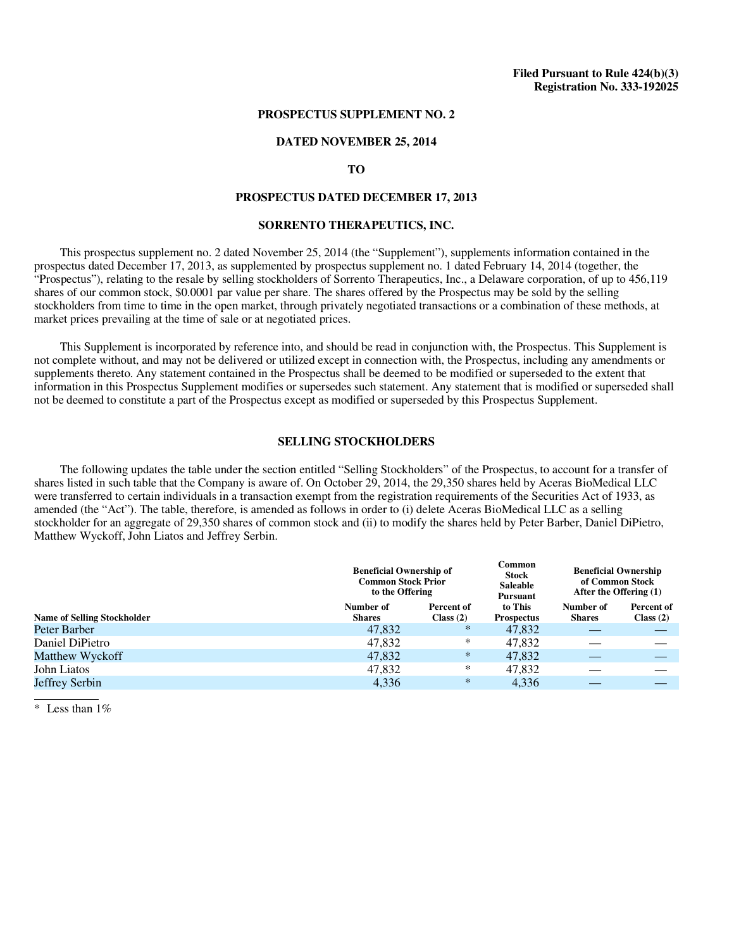### **PROSPECTUS SUPPLEMENT NO. 2**

#### **DATED NOVEMBER 25, 2014**

## **TO**

### **PROSPECTUS DATED DECEMBER 17, 2013**

# **SORRENTO THERAPEUTICS, INC.**

This prospectus supplement no. 2 dated November 25, 2014 (the "Supplement"), supplements information contained in the prospectus dated December 17, 2013, as supplemented by prospectus supplement no. 1 dated February 14, 2014 (together, the "Prospectus"), relating to the resale by selling stockholders of Sorrento Therapeutics, Inc., a Delaware corporation, of up to 456,119 shares of our common stock, \$0.0001 par value per share. The shares offered by the Prospectus may be sold by the selling stockholders from time to time in the open market, through privately negotiated transactions or a combination of these methods, at market prices prevailing at the time of sale or at negotiated prices.

This Supplement is incorporated by reference into, and should be read in conjunction with, the Prospectus. This Supplement is not complete without, and may not be delivered or utilized except in connection with, the Prospectus, including any amendments or supplements thereto. Any statement contained in the Prospectus shall be deemed to be modified or superseded to the extent that information in this Prospectus Supplement modifies or supersedes such statement. Any statement that is modified or superseded shall not be deemed to constitute a part of the Prospectus except as modified or superseded by this Prospectus Supplement.

# **SELLING STOCKHOLDERS**

The following updates the table under the section entitled "Selling Stockholders" of the Prospectus, to account for a transfer of shares listed in such table that the Company is aware of. On October 29, 2014, the 29,350 shares held by Aceras BioMedical LLC were transferred to certain individuals in a transaction exempt from the registration requirements of the Securities Act of 1933, as amended (the "Act"). The table, therefore, is amended as follows in order to (i) delete Aceras BioMedical LLC as a selling stockholder for an aggregate of 29,350 shares of common stock and (ii) to modify the shares held by Peter Barber, Daniel DiPietro, Matthew Wyckoff, John Liatos and Jeffrey Serbin.

|                                    | <b>Beneficial Ownership of</b><br><b>Common Stock Prior</b><br>to the Offering |                         | Common<br><b>Stock</b><br><b>Saleable</b><br><b>Pursuant</b> | <b>Beneficial Ownership</b><br>of Common Stock<br>After the Offering (1) |                         |
|------------------------------------|--------------------------------------------------------------------------------|-------------------------|--------------------------------------------------------------|--------------------------------------------------------------------------|-------------------------|
| <b>Name of Selling Stockholder</b> | Number of<br><b>Shares</b>                                                     | Percent of<br>Class (2) | to This<br><b>Prospectus</b>                                 | Number of<br><b>Shares</b>                                               | Percent of<br>Class (2) |
| Peter Barber                       | 47,832                                                                         | $\ast$                  | 47,832                                                       |                                                                          |                         |
| Daniel DiPietro                    | 47,832                                                                         | *                       | 47,832                                                       |                                                                          |                         |
| Matthew Wyckoff                    | 47,832                                                                         | $\ast$                  | 47,832                                                       |                                                                          |                         |
| John Liatos                        | 47,832                                                                         | *                       | 47,832                                                       |                                                                          |                         |
| Jeffrey Serbin                     | 4,336                                                                          | $\ast$                  | 4,336                                                        |                                                                          |                         |
|                                    |                                                                                |                         |                                                              |                                                                          |                         |

 $*$  Less than 1%